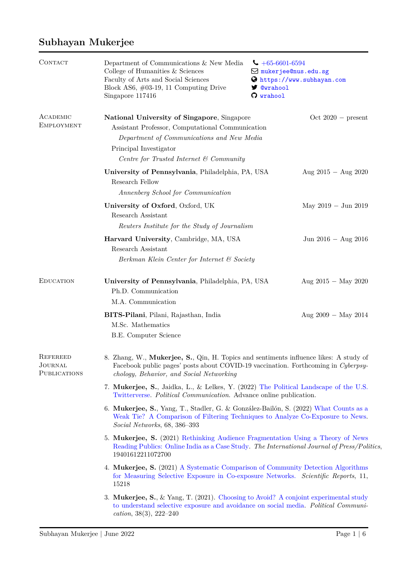## **Subhayan Mukerjee**

| CONTACT                                    | Department of Communications & New Media<br>College of Humanities & Sciences<br>Faculty of Arts and Social Sciences<br>Block AS6, $\#03-19$ , 11 Computing Drive<br>Singapore 117416                                   | $\big\downarrow +65-6601-6594$<br>$\boxtimes$ mukerjee@nus.edu.sg<br>https://www.subhayan.com<br><b>y</b> @wrahool<br>O wrahool |  |  |
|--------------------------------------------|------------------------------------------------------------------------------------------------------------------------------------------------------------------------------------------------------------------------|---------------------------------------------------------------------------------------------------------------------------------|--|--|
| ACADEMIC<br><b>EMPLOYMENT</b>              | National University of Singapore, Singapore<br>Assistant Professor, Computational Communication<br>Department of Communications and New Media<br>Principal Investigator<br>Centre for Trusted Internet & Community     | $Oct 2020 - present$                                                                                                            |  |  |
|                                            | University of Pennsylvania, Philadelphia, PA, USA<br>Research Fellow<br>Annenberg School for Communication                                                                                                             | Aug $2015 -$ Aug $2020$                                                                                                         |  |  |
|                                            | University of Oxford, Oxford, UK<br>Research Assistant<br>Reuters Institute for the Study of Journalism                                                                                                                | May $2019 - \text{Jun } 2019$                                                                                                   |  |  |
|                                            | Harvard University, Cambridge, MA, USA<br>Research Assistant<br>Berkman Klein Center for Internet & Society                                                                                                            | Jun 2016 $-$ Aug 2016                                                                                                           |  |  |
| <b>EDUCATION</b>                           | University of Pennsylvania, Philadelphia, PA, USA<br>Ph.D. Communication<br>M.A. Communication                                                                                                                         | Aug $2015 -$ May 2020                                                                                                           |  |  |
|                                            | BITS-Pilani, Pilani, Rajasthan, India<br>M.Sc. Mathematics<br>B.E. Computer Science                                                                                                                                    | Aug $2009 - May 2014$                                                                                                           |  |  |
| <b>REFEREED</b><br>JOURNAL<br>PUBLICATIONS | 8. Zhang, W., Mukerjee, S., Qin, H. Topics and sentiments influence likes: A study of<br>Facebook public pages' posts about COVID-19 vaccination. Forthcoming in Cyberpsy-<br>chology, Behavior, and Social Networking |                                                                                                                                 |  |  |
|                                            | 7. Mukerjee, S., Jaidka, L., & Lelkes, Y. (2022) The Political Landscape of the U.S.<br>Twitterverse. Political Communication. Advance online publication.                                                             |                                                                                                                                 |  |  |
|                                            | 6. Mukerjee, S., Yang, T., Stadler, G. & González-Bailón, S. (2022) What Counts as a<br>Weak Tie? A Comparison of Filtering Techniques to Analyze Co-Exposure to News.<br>Social Networks, 68, 386-393                 |                                                                                                                                 |  |  |
|                                            | 5. Mukerjee, S. (2021) Rethinking Audience Fragmentation Using a Theory of News<br>Reading Publics: Online India as a Case Study. The International Journal of Press/Politics.<br>19401612211072700                    |                                                                                                                                 |  |  |
|                                            | 4. Mukerjee, S. (2021) A Systematic Comparison of Community Detection Algorithms<br>for Measuring Selective Exposure in Co-exposure Networks. Scientific Reports, 11,<br>15218                                         |                                                                                                                                 |  |  |
|                                            | 3. Mukerjee, S., & Yang, T. (2021). Choosing to Avoid? A conjoint experimental study<br>to understand selective exposure and avoidance on social media. Political Communi-<br>cation, $38(3)$ , $222-240$              |                                                                                                                                 |  |  |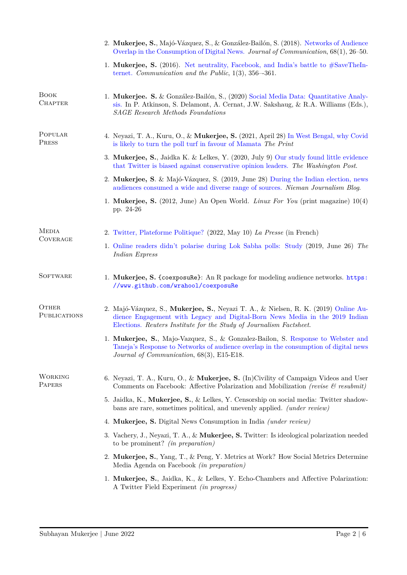|                                 | 2. Mukerjee, S., Majó-Vázquez, S., & González-Bailón, S. (2018). Networks of Audience<br>Overlap in the Consumption of Digital News. Journal of Communication, 68(1), 26–50.                                                               |  |  |
|---------------------------------|--------------------------------------------------------------------------------------------------------------------------------------------------------------------------------------------------------------------------------------------|--|--|
|                                 | 1. Mukerjee, S. (2016). Net neutrality, Facebook, and India's battle to $#SaveTheln-$<br>ternet. Communication and the Public, $1(3)$ , $356-361$ .                                                                                        |  |  |
| <b>BOOK</b><br><b>CHAPTER</b>   | 1. Mukerjee. S. & González-Bailón, S., (2020) Social Media Data: Quantitative Analy-<br>sis. In P. Atkinson, S. Delamont, A. Cernat, J.W. Sakshaug, & R.A. Williams (Eds.),<br><b>SAGE</b> Research Methods Foundations                    |  |  |
| POPULAR<br><b>PRESS</b>         | 4. Neyazi, T. A., Kuru, O., & Mukerjee, S. (2021, April 28) In West Bengal, why Covid<br>is likely to turn the poll turf in favour of Mamata The Print                                                                                     |  |  |
|                                 | 3. Mukerjee, S., Jaidka K. & Lelkes, Y. (2020, July 9) Our study found little evidence<br>that Twitter is biased against conservative opinion leaders. The Washington Post.                                                                |  |  |
|                                 | 2. Mukerjee, S. & Majó-Vázquez, S. (2019, June 28) During the Indian election, news<br>audiences consumed a wide and diverse range of sources. Nieman Journalism Blog.                                                                     |  |  |
|                                 | 1. Mukerjee, S. (2012, June) An Open World. Linux For You (print magazine) 10(4)<br>pp. 24-26                                                                                                                                              |  |  |
| <b>MEDIA</b><br><b>COVERAGE</b> | 2. Twitter, Plateforme Politique? (2022, May 10) La Presse (in French)                                                                                                                                                                     |  |  |
|                                 | 1. Online readers didn't polarise during Lok Sabha polls: Study (2019, June 26) The<br>Indian Express                                                                                                                                      |  |  |
| <b>SOFTWARE</b>                 | 1. Mukerjee, S. {coexposure}: An R package for modeling audience networks. https:<br>//www.github.com/wrahool/coexposuRe                                                                                                                   |  |  |
| OTHER<br><b>PUBLICATIONS</b>    | 2. Majó-Vázquez, S., Mukerjee, S., Neyazi T. A., & Nielsen, R. K. (2019) Online Au-<br>dience Engagement with Legacy and Digital-Born News Media in the 2019 Indian<br>Elections. Reuters Institute for the Study of Journalism Factsheet. |  |  |
|                                 | 1. Mukerjee, S., Majo-Vazquez, S., & Gonzalez-Bailon, S. Response to Webster and<br>Taneja's Response to Networks of audience overlap in the consumption of digital news<br>Journal of Communication, 68(3), E15-E18.                      |  |  |
| <b>WORKING</b><br><b>PAPERS</b> | 6. Neyazi, T. A., Kuru, O., & Mukerjee, S. (In)Civility of Campaign Videos and User<br>Comments on Facebook: Affective Polarization and Mobilization (revise $\mathcal C$ resubmit)                                                        |  |  |
|                                 | 5. Jaidka, K., Mukerjee, S., & Lelkes, Y. Censorship on social media: Twitter shadow-<br>bans are rare, sometimes political, and unevenly applied. <i>(under review)</i>                                                                   |  |  |
|                                 | 4. Mukerjee, S. Digital News Consumption in India <i>(under review)</i>                                                                                                                                                                    |  |  |
|                                 | 3. Vachery, J., Neyazi, T. A., & Mukerjee, S. Twitter: Is ideological polarization needed<br>to be prominent? <i>(in preparation)</i>                                                                                                      |  |  |
|                                 | 2. Mukerjee, S., Yang, T., & Peng, Y. Metrics at Work? How Social Metrics Determine<br>Media Agenda on Facebook <i>(in preparation)</i>                                                                                                    |  |  |
|                                 | 1. Mukerjee, S., Jaidka, K., & Lelkes, Y. Echo-Chambers and Affective Polarization:<br>A Twitter Field Experiment <i>(in progress)</i>                                                                                                     |  |  |
|                                 |                                                                                                                                                                                                                                            |  |  |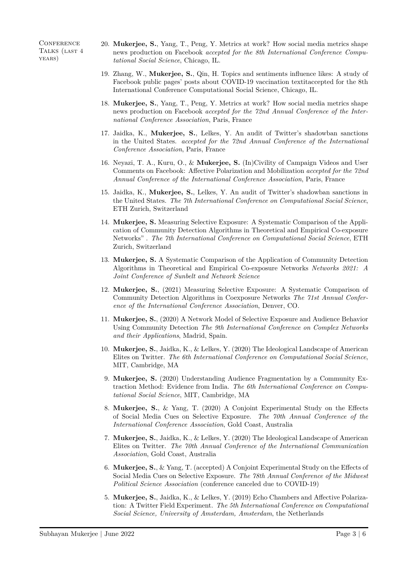**CONFERENCE** TALKS (LAST 4 years)

- 20. **Mukerjee, S.**, Yang, T., Peng, Y. Metrics at work? How social media metrics shape news production on Facebook *accepted for the 8th International Conference Computational Social Science*, Chicago, IL.
- 19. Zhang, W., **Mukerjee, S.**, Qin, H. Topics and sentiments influence likes: A study of Facebook public pages' posts about COVID-19 vaccination textitaccepted for the 8th International Conference Computational Social Science, Chicago, IL.
- 18. **Mukerjee, S.**, Yang, T., Peng, Y. Metrics at work? How social media metrics shape news production on Facebook *accepted for the 72nd Annual Conference of the International Conference Association*, Paris, France
- 17. Jaidka, K., **Mukerjee, S.**, Lelkes, Y. An audit of Twitter's shadowban sanctions in the United States. *accepted for the 72nd Annual Conference of the International Conference Association*, Paris, France
- 16. Neyazi, T. A., Kuru, O., & **Mukerjee, S.** (In)Civility of Campaign Videos and User Comments on Facebook: Affective Polarization and Mobilization *accepted for the 72nd Annual Conference of the International Conference Association*, Paris, France
- 15. Jaidka, K., **Mukerjee, S.**, Lelkes, Y. An audit of Twitter's shadowban sanctions in the United States. *The 7th International Conference on Computational Social Science*, ETH Zurich, Switzerland
- 14. **Mukerjee, S.** Measuring Selective Exposure: A Systematic Comparison of the Application of Community Detection Algorithms in Theoretical and Empirical Co-exposure Networks" . *The 7th International Conference on Computational Social Science*, ETH Zurich, Switzerland
- 13. **Mukerjee, S.** A Systematic Comparison of the Application of Community Detection Algorithms in Theoretical and Empirical Co-exposure Networks *Networks 2021: A Joint Conference of Sunbelt and Network Science*
- 12. **Mukerjee, S.**, (2021) Measuring Selective Exposure: A Systematic Comparison of Community Detection Algorithms in Coexposure Networks *The 71st Annual Conference of the International Conference Association*, Denver, CO.
- 11. **Mukerjee, S.**, (2020) A Network Model of Selective Exposure and Audience Behavior Using Community Detection *The 9th International Conference on Complex Networks and their Applications*, Madrid, Spain.
- 10. **Mukerjee, S.**, Jaidka, K., & Lelkes, Y. (2020) The Ideological Landscape of American Elites on Twitter. *The 6th International Conference on Computational Social Science*, MIT, Cambridge, MA
- 9. **Mukerjee, S.** (2020) Understanding Audience Fragmentation by a Community Extraction Method: Evidence from India. *The 6th International Conference on Computational Social Science*, MIT, Cambridge, MA
- 8. **Mukerjee, S.**, & Yang, T. (2020) A Conjoint Experimental Study on the Effects of Social Media Cues on Selective Exposure. *The 70th Annual Conference of the International Conference Association*, Gold Coast, Australia
- 7. **Mukerjee, S.**, Jaidka, K., & Lelkes, Y. (2020) The Ideological Landscape of American Elites on Twitter. *The 70th Annual Conference of the International Communication Association*, Gold Coast, Australia
- 6. **Mukerjee, S.**, & Yang, T. (accepted) A Conjoint Experimental Study on the Effects of Social Media Cues on Selective Exposure. *The 78th Annual Conference of the Midwest Political Science Association* (conference canceled due to COVID-19)
- 5. **Mukerjee, S.**, Jaidka, K., & Lelkes, Y. (2019) Echo Chambers and Affective Polarization: A Twitter Field Experiment. *The 5th International Conference on Computational Social Science, University of Amsterdam, Amsterdam*, the Netherlands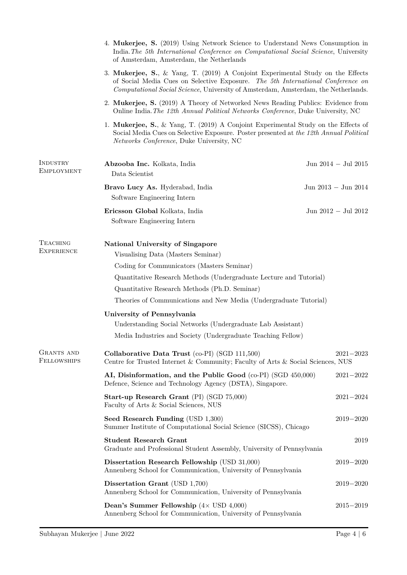|                                      | 4. Mukerjee, S. (2019) Using Network Science to Understand News Consumption in                                                                                                                                                                           |                         |  |  |
|--------------------------------------|----------------------------------------------------------------------------------------------------------------------------------------------------------------------------------------------------------------------------------------------------------|-------------------------|--|--|
|                                      | India. The 5th International Conference on Computational Social Science, University<br>of Amsterdam, Amsterdam, the Netherlands                                                                                                                          |                         |  |  |
|                                      | 3. Mukerjee, S., & Yang, T. (2019) A Conjoint Experimental Study on the Effects<br>of Social Media Cues on Selective Exposure. The 5th International Conference on<br>Computational Social Science, University of Amsterdam, Amsterdam, the Netherlands. |                         |  |  |
|                                      | 2. Mukerjee, S. (2019) A Theory of Networked News Reading Publics: Evidence from<br>Online India. The 12th Annual Political Networks Conference, Duke University, NC                                                                                     |                         |  |  |
|                                      | 1. Mukerjee, S., & Yang, T. (2019) A Conjoint Experimental Study on the Effects of<br>Social Media Cues on Selective Exposure. Poster presented at the 12th Annual Political<br>Networks Conference, Duke University, NC                                 |                         |  |  |
| INDUSTRY<br><b>EMPLOYMENT</b>        | Abzooba Inc. Kolkata, India<br>Data Scientist                                                                                                                                                                                                            | Jun $2014 -$ Jul $2015$ |  |  |
|                                      | Bravo Lucy As. Hyderabad, India<br>Software Engineering Intern                                                                                                                                                                                           | Jun 2013 $-$ Jun 2014   |  |  |
|                                      | Ericsson Global Kolkata, India<br>Software Engineering Intern                                                                                                                                                                                            | Jun 2012 $-$ Jul 2012   |  |  |
| <b>TEACHING</b><br><b>EXPERIENCE</b> | <b>National University of Singapore</b><br>Visualising Data (Masters Seminar)                                                                                                                                                                            |                         |  |  |
|                                      | Coding for Communicators (Masters Seminar)                                                                                                                                                                                                               |                         |  |  |
|                                      | Quantitative Research Methods (Undergraduate Lecture and Tutorial)                                                                                                                                                                                       |                         |  |  |
|                                      | Quantitative Research Methods (Ph.D. Seminar)                                                                                                                                                                                                            |                         |  |  |
|                                      | Theories of Communications and New Media (Undergraduate Tutorial)                                                                                                                                                                                        |                         |  |  |
|                                      | University of Pennsylvania                                                                                                                                                                                                                               |                         |  |  |
|                                      | Understanding Social Networks (Undergraduate Lab Assistant)                                                                                                                                                                                              |                         |  |  |
|                                      | Media Industries and Society (Undergraduate Teaching Fellow)                                                                                                                                                                                             |                         |  |  |
| GRANTS AND<br><b>FELLOWSHIPS</b>     | Collaborative Data Trust (co-PI) (SGD 111,500)<br>Centre for Trusted Internet & Community; Faculty of Arts & Social Sciences, NUS                                                                                                                        | $2021 - 2023$           |  |  |
|                                      | AI, Disinformation, and the Public Good (co-PI) (SGD 450,000)<br>Defence, Science and Technology Agency (DSTA), Singapore.                                                                                                                               | $2021 - 2022$           |  |  |
|                                      | Start-up Research Grant (PI) (SGD 75,000)<br>Faculty of Arts & Social Sciences, NUS                                                                                                                                                                      | $2021 - 2024$           |  |  |
|                                      | Seed Research Funding (USD 1,300)<br>Summer Institute of Computational Social Science (SICSS), Chicago                                                                                                                                                   | $2019 - 2020$           |  |  |
|                                      | <b>Student Research Grant</b><br>Graduate and Professional Student Assembly, University of Pennsylvania                                                                                                                                                  | 2019                    |  |  |
|                                      | Dissertation Research Fellowship (USD 31,000)<br>Annenberg School for Communication, University of Pennsylvania                                                                                                                                          | $2019 - 2020$           |  |  |
|                                      | Dissertation Grant (USD 1,700)<br>Annenberg School for Communication, University of Pennsylvania                                                                                                                                                         | $2019 - 2020$           |  |  |
|                                      | Dean's Summer Fellowship $(4 \times$ USD $4,000)$<br>Annenberg School for Communication, University of Pennsylvania                                                                                                                                      | $2015 - 2019$           |  |  |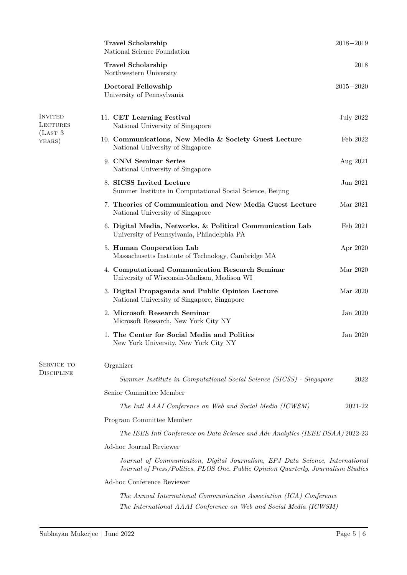|                                                         | <b>Travel Scholarship</b><br>National Science Foundation                                                                                                           | $2018 - 2019$    |  |
|---------------------------------------------------------|--------------------------------------------------------------------------------------------------------------------------------------------------------------------|------------------|--|
|                                                         | Travel Scholarship<br>Northwestern University                                                                                                                      | 2018             |  |
|                                                         | Doctoral Fellowship<br>University of Pennsylvania                                                                                                                  | $2015 - 2020$    |  |
| <b>INVITED</b><br><b>LECTURES</b><br>(LAST 3)<br>YEARS) | 11. CET Learning Festival<br>National University of Singapore                                                                                                      | <b>July 2022</b> |  |
|                                                         | 10. Communications, New Media & Society Guest Lecture<br>National University of Singapore                                                                          | Feb 2022         |  |
|                                                         | 9. CNM Seminar Series<br>National University of Singapore                                                                                                          | Aug 2021         |  |
|                                                         | 8. SICSS Invited Lecture<br>Summer Institute in Computational Social Science, Beijing                                                                              | Jun 2021         |  |
|                                                         | 7. Theories of Communication and New Media Guest Lecture<br>National University of Singapore                                                                       | Mar 2021         |  |
|                                                         | 6. Digital Media, Networks, & Political Communication Lab<br>University of Pennsylvania, Philadelphia PA                                                           | Feb 2021         |  |
|                                                         | 5. Human Cooperation Lab<br>Massachusetts Institute of Technology, Cambridge MA                                                                                    | Apr 2020         |  |
|                                                         | 4. Computational Communication Research Seminar<br>University of Wisconsin-Madison, Madison WI                                                                     | Mar 2020         |  |
|                                                         | 3. Digital Propaganda and Public Opinion Lecture<br>National University of Singapore, Singapore                                                                    | Mar 2020         |  |
|                                                         | 2. Microsoft Research Seminar<br>Microsoft Research, New York City NY                                                                                              | Jan 2020         |  |
|                                                         | 1. The Center for Social Media and Politics<br>New York University, New York City NY                                                                               | Jan 2020         |  |
| SERVICE TO                                              | Organizer                                                                                                                                                          |                  |  |
| <b>DISCIPLINE</b>                                       | Summer Institute in Computational Social Science (SICSS) - Singapore                                                                                               | 2022             |  |
|                                                         | Senior Committee Member                                                                                                                                            |                  |  |
|                                                         | The Intl AAAI Conference on Web and Social Media (ICWSM)                                                                                                           | 2021-22          |  |
|                                                         | Program Committee Member                                                                                                                                           |                  |  |
|                                                         | The IEEE Intl Conference on Data Science and Adv Analytics (IEEE DSAA) 2022-23                                                                                     |                  |  |
|                                                         | Ad-hoc Journal Reviewer                                                                                                                                            |                  |  |
|                                                         | Journal of Communication, Digital Journalism, EPJ Data Science, International<br>Journal of Press/Politics, PLOS One, Public Opinion Quarterly, Journalism Studies |                  |  |
|                                                         | Ad-hoc Conference Reviewer                                                                                                                                         |                  |  |
|                                                         | The Annual International Communication Association (ICA) Conference<br>The International AAAI Conference on Web and Social Media (ICWSM)                           |                  |  |